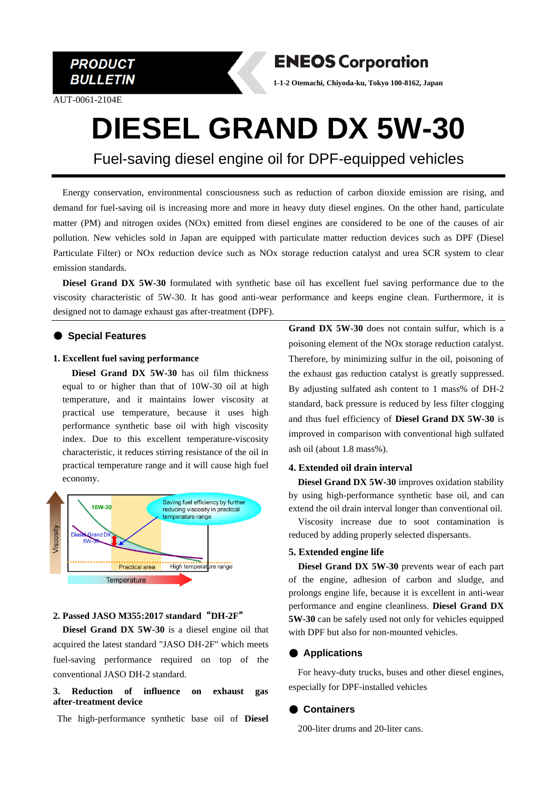

AUT-0061-2104E

**ENEOS Corporation** 

**1-1-2 Otemachi, Chiyoda-ku, Tokyo 100-8162, Japan**

## **DIESEL GRAND DX 5W-30**

Fuel-saving diesel engine oil for DPF-equipped vehicles

Energy conservation, environmental consciousness such as reduction of carbon dioxide emission are rising, and demand for fuel-saving oil is increasing more and more in heavy duty diesel engines. On the other hand, particulate matter (PM) and nitrogen oxides (NOx) emitted from diesel engines are considered to be one of the causes of air pollution. New vehicles sold in Japan are equipped with particulate matter reduction devices such as DPF (Diesel Particulate Filter) or NOx reduction device such as NOx storage reduction catalyst and urea SCR system to clear emission standards.

**Diesel Grand DX 5W-30** formulated with synthetic base oil has excellent fuel saving performance due to the viscosity characteristic of 5W-30. It has good anti-wear performance and keeps engine clean. Furthermore, it is designed not to damage exhaust gas after-treatment (DPF).

#### ● **Special Features**

#### **1. Excellent fuel saving performance**

**Diesel Grand DX 5W-30** has oil film thickness equal to or higher than that of 10W-30 oil at high temperature, and it maintains lower viscosity at practical use temperature, because it uses high performance synthetic base oil with high viscosity index. Due to this excellent temperature-viscosity characteristic, it reduces stirring resistance of the oil in practical temperature range and it will cause high fuel economy.



#### **2. Passed JASO M355:2017 standard**"**DH-2F**"

**Diesel Grand DX 5W-30** is a diesel engine oil that acquired the latest standard "JASO DH-2F" which meets fuel-saving performance required on top of the conventional JASO DH-2 standard.

#### **3. Reduction of influence on exhaust gas after-treatment device**

The high-performance synthetic base oil of **Diesel** 

**Grand DX 5W-30** does not contain sulfur, which is a poisoning element of the NOx storage reduction catalyst. Therefore, by minimizing sulfur in the oil, poisoning of the exhaust gas reduction catalyst is greatly suppressed. By adjusting sulfated ash content to 1 mass% of DH-2 standard, back pressure is reduced by less filter clogging and thus fuel efficiency of **Diesel Grand DX 5W-30** is improved in comparison with conventional high sulfated ash oil (about 1.8 mass%).

#### **4. Extended oil drain interval**

**Diesel Grand DX 5W-30** improves oxidation stability by using high-performance synthetic base oil, and can extend the oil drain interval longer than conventional oil.

Viscosity increase due to soot contamination is reduced by adding properly selected dispersants.

#### **5. Extended engine life**

 **Diesel Grand DX 5W-30** prevents wear of each part of the engine, adhesion of carbon and sludge, and prolongs engine life, because it is excellent in anti-wear performance and engine cleanliness. **Diesel Grand DX 5W-30** can be safely used not only for vehicles equipped with DPF but also for non-mounted vehicles.

#### ● **Applications**

For heavy-duty trucks, buses and other diesel engines, especially for DPF-installed vehicles

#### ● **Containers**

200-liter drums and 20-liter cans.